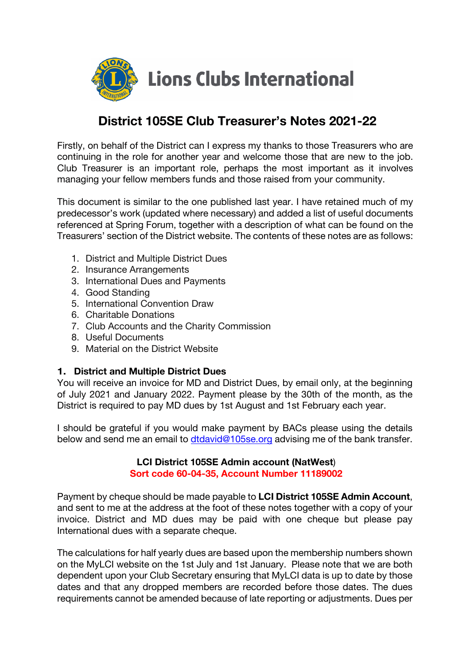

# **District 105SE Club Treasurer's Notes 2021-22**

Firstly, on behalf of the District can I express my thanks to those Treasurers who are continuing in the role for another year and welcome those that are new to the job. Club Treasurer is an important role, perhaps the most important as it involves managing your fellow members funds and those raised from your community.

This document is similar to the one published last year. I have retained much of my predecessor's work (updated where necessary) and added a list of useful documents referenced at Spring Forum, together with a description of what can be found on the Treasurers' section of the District website. The contents of these notes are as follows:

- 1. District and Multiple District Dues
- 2. Insurance Arrangements
- 3. International Dues and Payments
- 4. Good Standing
- 5. International Convention Draw
- 6. Charitable Donations
- 7. Club Accounts and the Charity Commission
- 8. Useful Documents
- 9. Material on the District Website

## **1. District and Multiple District Dues**

You will receive an invoice for MD and District Dues, by email only, at the beginning of July 2021 and January 2022. Payment please by the 30th of the month, as the District is required to pay MD dues by 1st August and 1st February each year.

I should be grateful if you would make payment by BACs please using the details below and send me an email to dtdavid@105se.org advising me of the bank transfer.

## **LCI District 105SE Admin account (NatWest**) **Sort code 60-04-35, Account Number 11189002**

Payment by cheque should be made payable to **LCI District 105SE Admin Account**, and sent to me at the address at the foot of these notes together with a copy of your invoice. District and MD dues may be paid with one cheque but please pay International dues with a separate cheque.

The calculations for half yearly dues are based upon the membership numbers shown on the MyLCI website on the 1st July and 1st January. Please note that we are both dependent upon your Club Secretary ensuring that MyLCI data is up to date by those dates and that any dropped members are recorded before those dates. The dues requirements cannot be amended because of late reporting or adjustments. Dues per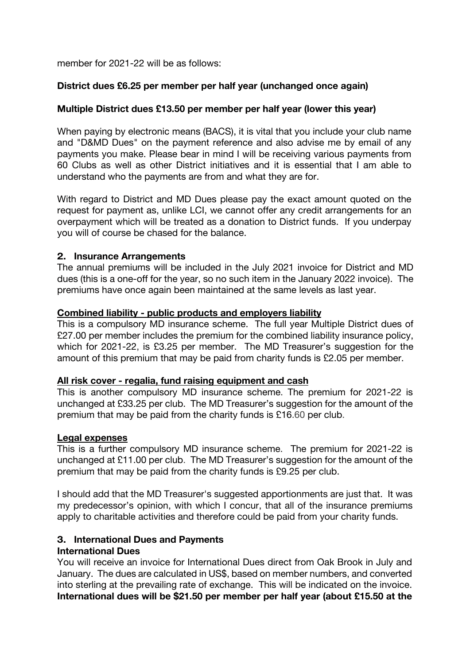member for 2021-22 will be as follows:

## **District dues £6.25 per member per half year (unchanged once again)**

## **Multiple District dues £13.50 per member per half year (lower this year)**

When paying by electronic means (BACS), it is vital that you include your club name and "D&MD Dues" on the payment reference and also advise me by email of any payments you make. Please bear in mind I will be receiving various payments from 60 Clubs as well as other District initiatives and it is essential that I am able to understand who the payments are from and what they are for.

With regard to District and MD Dues please pay the exact amount quoted on the request for payment as, unlike LCI, we cannot offer any credit arrangements for an overpayment which will be treated as a donation to District funds. If you underpay you will of course be chased for the balance.

#### **2. Insurance Arrangements**

The annual premiums will be included in the July 2021 invoice for District and MD dues (this is a one-off for the year, so no such item in the January 2022 invoice). The premiums have once again been maintained at the same levels as last year.

#### **Combined liability - public products and employers liability**

This is a compulsory MD insurance scheme. The full year Multiple District dues of £27.00 per member includes the premium for the combined liability insurance policy, which for 2021-22, is £3.25 per member. The MD Treasurer's suggestion for the amount of this premium that may be paid from charity funds is £2.05 per member.

#### **All risk cover - regalia, fund raising equipment and cash**

This is another compulsory MD insurance scheme. The premium for 2021-22 is unchanged at £33.25 per club. The MD Treasurer's suggestion for the amount of the premium that may be paid from the charity funds is £16.60 per club.

#### **Legal expenses**

This is a further compulsory MD insurance scheme. The premium for 2021-22 is unchanged at £11.00 per club. The MD Treasurer's suggestion for the amount of the premium that may be paid from the charity funds is £9.25 per club.

I should add that the MD Treasurer's suggested apportionments are just that. It was my predecessor's opinion, with which I concur, that all of the insurance premiums apply to charitable activities and therefore could be paid from your charity funds.

## **3. International Dues and Payments**

## **International Dues**

You will receive an invoice for International Dues direct from Oak Brook in July and January. The dues are calculated in US\$, based on member numbers, and converted into sterling at the prevailing rate of exchange. This will be indicated on the invoice. **International dues will be \$21.50 per member per half year (about £15.50 at the**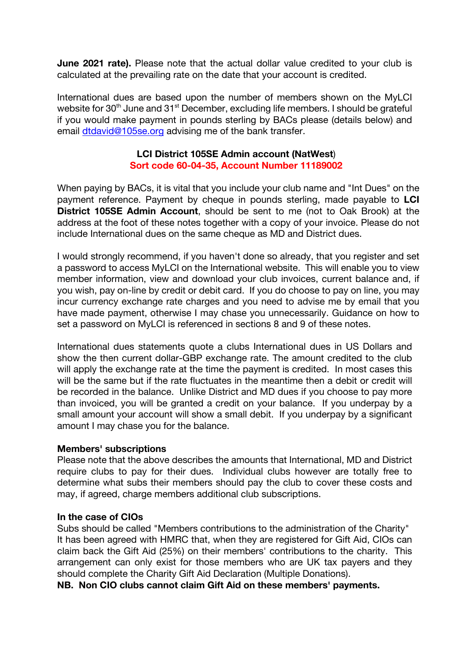**June 2021 rate).** Please note that the actual dollar value credited to your club is calculated at the prevailing rate on the date that your account is credited.

International dues are based upon the number of members shown on the MyLCI website for 30<sup>th</sup> June and 31<sup>st</sup> December, excluding life members. I should be grateful if you would make payment in pounds sterling by BACs please (details below) and email dtdavid@105se.org advising me of the bank transfer.

## **LCI District 105SE Admin account (NatWest**) **Sort code 60-04-35, Account Number 11189002**

When paying by BACs, it is vital that you include your club name and "Int Dues" on the payment reference. Payment by cheque in pounds sterling, made payable to **LCI District 105SE Admin Account**, should be sent to me (not to Oak Brook) at the address at the foot of these notes together with a copy of your invoice. Please do not include International dues on the same cheque as MD and District dues.

I would strongly recommend, if you haven't done so already, that you register and set a password to access MyLCI on the International website. This will enable you to view member information, view and download your club invoices, current balance and, if you wish, pay on-line by credit or debit card. If you do choose to pay on line, you may incur currency exchange rate charges and you need to advise me by email that you have made payment, otherwise I may chase you unnecessarily. Guidance on how to set a password on MyLCI is referenced in sections 8 and 9 of these notes.

International dues statements quote a clubs International dues in US Dollars and show the then current dollar-GBP exchange rate. The amount credited to the club will apply the exchange rate at the time the payment is credited. In most cases this will be the same but if the rate fluctuates in the meantime then a debit or credit will be recorded in the balance. Unlike District and MD dues if you choose to pay more than invoiced, you will be granted a credit on your balance. If you underpay by a small amount your account will show a small debit. If you underpay by a significant amount I may chase you for the balance.

#### **Members' subscriptions**

Please note that the above describes the amounts that International, MD and District require clubs to pay for their dues. Individual clubs however are totally free to determine what subs their members should pay the club to cover these costs and may, if agreed, charge members additional club subscriptions.

#### **In the case of CIOs**

Subs should be called "Members contributions to the administration of the Charity" It has been agreed with HMRC that, when they are registered for Gift Aid, CIOs can claim back the Gift Aid (25%) on their members' contributions to the charity. This arrangement can only exist for those members who are UK tax payers and they should complete the Charity Gift Aid Declaration (Multiple Donations).

**NB. Non CIO clubs cannot claim Gift Aid on these members' payments.**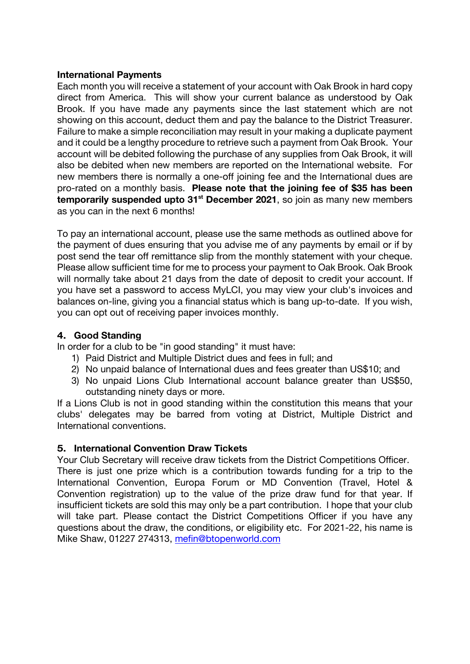#### **International Payments**

Each month you will receive a statement of your account with Oak Brook in hard copy direct from America. This will show your current balance as understood by Oak Brook. If you have made any payments since the last statement which are not showing on this account, deduct them and pay the balance to the District Treasurer. Failure to make a simple reconciliation may result in your making a duplicate payment and it could be a lengthy procedure to retrieve such a payment from Oak Brook. Your account will be debited following the purchase of any supplies from Oak Brook, it will also be debited when new members are reported on the International website. For new members there is normally a one-off joining fee and the International dues are pro-rated on a monthly basis. **Please note that the joining fee of \$35 has been temporarily suspended upto 31<sup>st</sup> December 2021**, so join as many new members as you can in the next 6 months!

To pay an international account, please use the same methods as outlined above for the payment of dues ensuring that you advise me of any payments by email or if by post send the tear off remittance slip from the monthly statement with your cheque. Please allow sufficient time for me to process your payment to Oak Brook. Oak Brook will normally take about 21 days from the date of deposit to credit your account. If you have set a password to access MyLCI, you may view your club's invoices and balances on-line, giving you a financial status which is bang up-to-date. If you wish, you can opt out of receiving paper invoices monthly.

## **4. Good Standing**

In order for a club to be "in good standing" it must have:

- 1) Paid District and Multiple District dues and fees in full; and
- 2) No unpaid balance of International dues and fees greater than US\$10; and
- 3) No unpaid Lions Club International account balance greater than US\$50, outstanding ninety days or more.

If a Lions Club is not in good standing within the constitution this means that your clubs' delegates may be barred from voting at District, Multiple District and International conventions.

## **5. International Convention Draw Tickets**

Your Club Secretary will receive draw tickets from the District Competitions Officer. There is just one prize which is a contribution towards funding for a trip to the International Convention, Europa Forum or MD Convention (Travel, Hotel & Convention registration) up to the value of the prize draw fund for that year. If insufficient tickets are sold this may only be a part contribution. I hope that your club will take part. Please contact the District Competitions Officer if you have any questions about the draw, the conditions, or eligibility etc. For 2021-22, his name is Mike Shaw, 01227 274313, mefin@btopenworld.com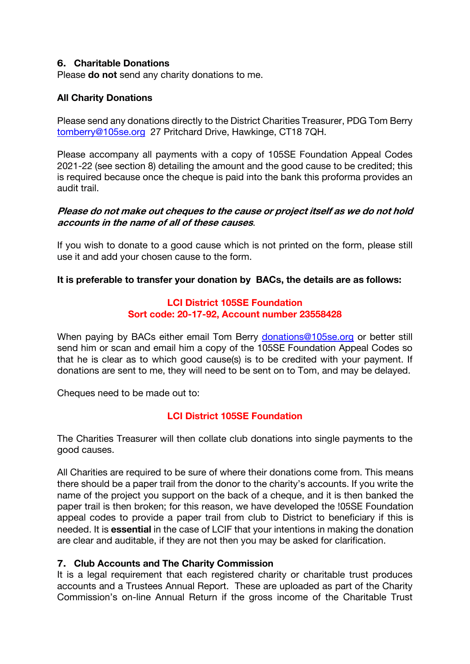#### **6. Charitable Donations**

Please **do not** send any charity donations to me.

#### **All Charity Donations**

Please send any donations directly to the District Charities Treasurer, PDG Tom Berry tomberry@105se.org 27 Pritchard Drive, Hawkinge, CT18 7QH.

Please accompany all payments with a copy of 105SE Foundation Appeal Codes 2021-22 (see section 8) detailing the amount and the good cause to be credited; this is required because once the cheque is paid into the bank this proforma provides an audit trail.

#### **Please do not make out cheques to the cause or project itself as we do not hold accounts in the name of all of these causes**.

If you wish to donate to a good cause which is not printed on the form, please still use it and add your chosen cause to the form.

#### **It is preferable to transfer your donation by BACs, the details are as follows:**

## **LCI District 105SE Foundation Sort code: 20-17-92, Account number 23558428**

When paying by BACs either email Tom Berry donations@105se.org or better still send him or scan and email him a copy of the 105SE Foundation Appeal Codes so that he is clear as to which good cause(s) is to be credited with your payment. If donations are sent to me, they will need to be sent on to Tom, and may be delayed.

Cheques need to be made out to:

## **LCI District 105SE Foundation**

The Charities Treasurer will then collate club donations into single payments to the good causes.

All Charities are required to be sure of where their donations come from. This means there should be a paper trail from the donor to the charity's accounts. If you write the name of the project you support on the back of a cheque, and it is then banked the paper trail is then broken; for this reason, we have developed the !05SE Foundation appeal codes to provide a paper trail from club to District to beneficiary if this is needed. It is **essential** in the case of LCIF that your intentions in making the donation are clear and auditable, if they are not then you may be asked for clarification.

#### **7. Club Accounts and The Charity Commission**

It is a legal requirement that each registered charity or charitable trust produces accounts and a Trustees Annual Report. These are uploaded as part of the Charity Commission's on-line Annual Return if the gross income of the Charitable Trust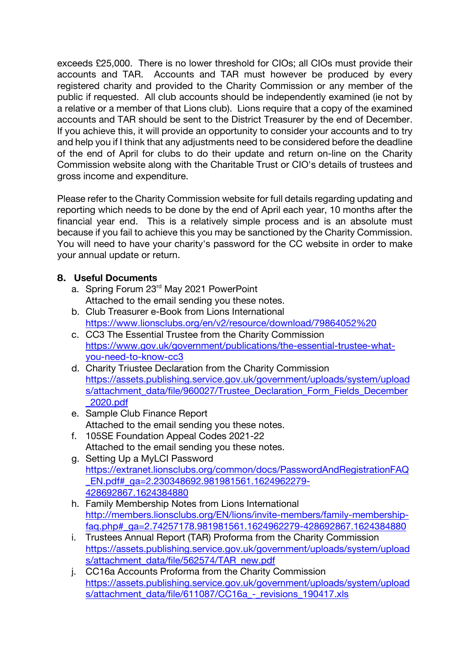exceeds £25,000. There is no lower threshold for CIOs; all CIOs must provide their accounts and TAR. Accounts and TAR must however be produced by every registered charity and provided to the Charity Commission or any member of the public if requested. All club accounts should be independently examined (ie not by a relative or a member of that Lions club). Lions require that a copy of the examined accounts and TAR should be sent to the District Treasurer by the end of December. If you achieve this, it will provide an opportunity to consider your accounts and to try and help you if I think that any adjustments need to be considered before the deadline of the end of April for clubs to do their update and return on-line on the Charity Commission website along with the Charitable Trust or CIO's details of trustees and gross income and expenditure.

Please refer to the Charity Commission website for full details regarding updating and reporting which needs to be done by the end of April each year, 10 months after the financial year end. This is a relatively simple process and is an absolute must because if you fail to achieve this you may be sanctioned by the Charity Commission. You will need to have your charity's password for the CC website in order to make your annual update or return.

# **8. Useful Documents**

- a. Spring Forum 23<sup>rd</sup> May 2021 PowerPoint Attached to the email sending you these notes.
- b. Club Treasurer e-Book from Lions International https://www.lionsclubs.org/en/v2/resource/download/79864052%20
- c. CC3 The Essential Trustee from the Charity Commission https://www.gov.uk/government/publications/the-essential-trustee-whatyou-need-to-know-cc3
- d. Charity Triustee Declaration from the Charity Commission https://assets.publishing.service.gov.uk/government/uploads/system/upload s/attachment\_data/file/960027/Trustee\_Declaration\_Form\_Fields\_December \_2020.pdf
- e. Sample Club Finance Report Attached to the email sending you these notes.
- f. 105SE Foundation Appeal Codes 2021-22 Attached to the email sending you these notes.
- g. Setting Up a MyLCI Password https://extranet.lionsclubs.org/common/docs/PasswordAndRegistrationFAQ \_EN.pdf#\_ga=2.230348692.981981561.1624962279- 428692867.1624384880
- h. Family Membership Notes from Lions International http://members.lionsclubs.org/EN/lions/invite-members/family-membershipfaq.php#\_ga=2.74257178.981981561.1624962279-428692867.1624384880
- i. Trustees Annual Report (TAR) Proforma from the Charity Commission https://assets.publishing.service.gov.uk/government/uploads/system/upload s/attachment\_data/file/562574/TAR\_new.pdf
- j. CC16a Accounts Proforma from the Charity Commission https://assets.publishing.service.gov.uk/government/uploads/system/upload s/attachment\_data/file/611087/CC16a - revisions\_190417.xls